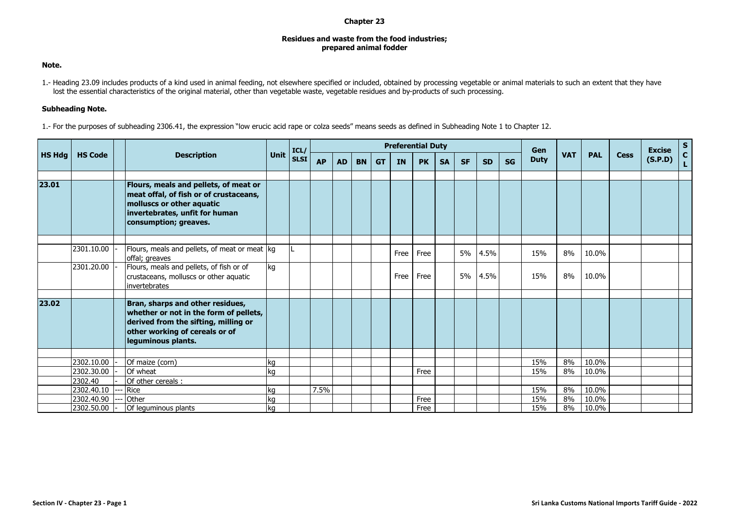## **Chapter 23**

## **Residues and waste from the food industries; prepared animal fodder**

## **Note.**

1.- Heading 23.09 includes products of a kind used in animal feeding, not elsewhere specified or included, obtained by processing vegetable or animal materials to such an extent that they have lost the essential characteristics of the original material, other than vegetable waste, vegetable residues and by-products of such processing.

## **Subheading Note.**

1.- For the purposes of subheading 2306.41, the expression "low erucic acid rape or colza seeds" means seeds as defined in Subheading Note 1 to Chapter 12.

| <b>HS Hdg</b> | <b>HS Code</b> |  | <b>Description</b>                                                                                                                                                         |      | ICL/        |           |           |           |           | <b>Preferential Duty</b> |           |           |           |           |           | Gen         |            |            |      | <b>Excise</b> | $S_{C}$ |
|---------------|----------------|--|----------------------------------------------------------------------------------------------------------------------------------------------------------------------------|------|-------------|-----------|-----------|-----------|-----------|--------------------------|-----------|-----------|-----------|-----------|-----------|-------------|------------|------------|------|---------------|---------|
|               |                |  |                                                                                                                                                                            | Unit | <b>SLSI</b> | <b>AP</b> | <b>AD</b> | <b>BN</b> | <b>GT</b> | <b>IN</b>                | <b>PK</b> | <b>SA</b> | <b>SF</b> | <b>SD</b> | <b>SG</b> | <b>Duty</b> | <b>VAT</b> | <b>PAL</b> | Cess | (S.P.D)       |         |
|               |                |  |                                                                                                                                                                            |      |             |           |           |           |           |                          |           |           |           |           |           |             |            |            |      |               |         |
| 23.01         |                |  | Flours, meals and pellets, of meat or<br>meat offal, of fish or of crustaceans,<br>molluscs or other aquatic<br>invertebrates, unfit for human<br>consumption; greaves.    |      |             |           |           |           |           |                          |           |           |           |           |           |             |            |            |      |               |         |
|               |                |  |                                                                                                                                                                            |      |             |           |           |           |           |                          |           |           |           |           |           |             |            |            |      |               |         |
|               | 2301.10.00     |  | Flours, meals and pellets, of meat or meat kg<br>offal; greaves                                                                                                            |      |             |           |           |           |           | Free                     | Free      |           | 5%        | 4.5%      |           | 15%         | 8%         | 10.0%      |      |               |         |
|               | 2301.20.00     |  | Flours, meals and pellets, of fish or of<br>crustaceans, molluscs or other aquatic<br>linvertebrates                                                                       | kg   |             |           |           |           |           | Free                     | Free      |           | 5%        | 4.5%      |           | 15%         | 8%         | 10.0%      |      |               |         |
|               |                |  |                                                                                                                                                                            |      |             |           |           |           |           |                          |           |           |           |           |           |             |            |            |      |               |         |
| 23.02         |                |  | Bran, sharps and other residues,<br>whether or not in the form of pellets,<br>derived from the sifting, milling or<br>other working of cereals or of<br>leguminous plants. |      |             |           |           |           |           |                          |           |           |           |           |           |             |            |            |      |               |         |
|               |                |  |                                                                                                                                                                            |      |             |           |           |           |           |                          |           |           |           |           |           |             |            |            |      |               |         |
|               | 2302.10.00     |  | Of maize (corn)                                                                                                                                                            | kg   |             |           |           |           |           |                          |           |           |           |           |           | 15%         | 8%         | 10.0%      |      |               |         |
|               | 2302.30.00     |  | Of wheat                                                                                                                                                                   | kg   |             |           |           |           |           |                          | Free      |           |           |           |           | 15%         | 8%         | 10.0%      |      |               |         |
|               | 2302.40        |  | Of other cereals:                                                                                                                                                          |      |             |           |           |           |           |                          |           |           |           |           |           |             |            |            |      |               |         |
|               | 2302.40.10     |  | Rice                                                                                                                                                                       | kg   |             | 7.5%      |           |           |           |                          |           |           |           |           |           | 15%         | 8%         | 10.0%      |      |               |         |
|               | 2302.40.90     |  | Other                                                                                                                                                                      | kg   |             |           |           |           |           |                          | Free      |           |           |           |           | 15%         | 8%         | 10.0%      |      |               |         |
|               | 2302.50.00     |  | Of leguminous plants                                                                                                                                                       | kg   |             |           |           |           |           |                          | Free      |           |           |           |           | 15%         | 8%         | 10.0%      |      |               |         |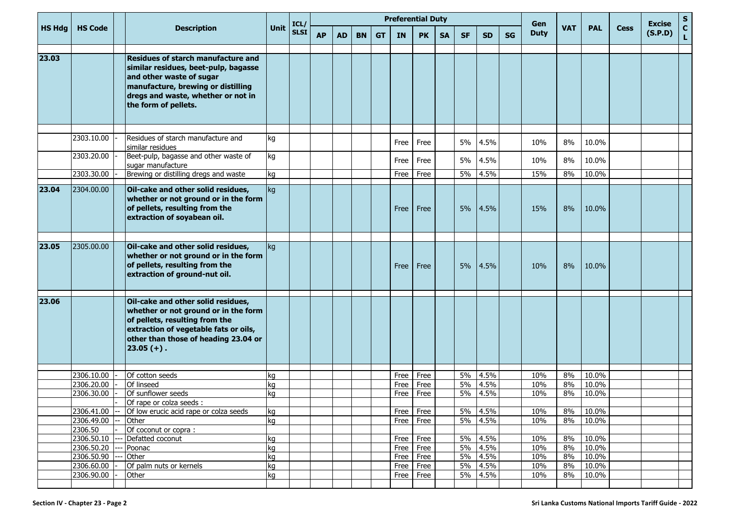|               | <b>HS Code</b>           |  | <b>Description</b>                                                                                                                                                                                                |          | ICL/        |           |           |           |           |              | <b>Preferential Duty</b> |           |           |                 |           | Gen         |            |                |             | <b>Excise</b> | ${\sf s}$                   |
|---------------|--------------------------|--|-------------------------------------------------------------------------------------------------------------------------------------------------------------------------------------------------------------------|----------|-------------|-----------|-----------|-----------|-----------|--------------|--------------------------|-----------|-----------|-----------------|-----------|-------------|------------|----------------|-------------|---------------|-----------------------------|
| <b>HS Hdg</b> |                          |  |                                                                                                                                                                                                                   | Unit     | <b>SLSI</b> | <b>AP</b> | <b>AD</b> | <b>BN</b> | <b>GT</b> | <b>IN</b>    | <b>PK</b>                | <b>SA</b> | <b>SF</b> | <b>SD</b>       | <b>SG</b> | <b>Duty</b> | <b>VAT</b> | <b>PAL</b>     | <b>Cess</b> | (S.P.D)       | $\mathbf{C}$<br>$\mathbf L$ |
| 23.03         |                          |  | <b>Residues of starch manufacture and</b><br>similar residues, beet-pulp, bagasse<br>and other waste of sugar<br>manufacture, brewing or distilling<br>dregs and waste, whether or not in<br>the form of pellets. |          |             |           |           |           |           |              |                          |           |           |                 |           |             |            |                |             |               |                             |
|               | 2303.10.00               |  | Residues of starch manufacture and<br>similar residues                                                                                                                                                            | kq       |             |           |           |           |           | Free         | Free                     |           | 5%        | 4.5%            |           | 10%         | 8%         | 10.0%          |             |               |                             |
|               | 2303.20.00               |  | Beet-pulp, bagasse and other waste of<br>sugar manufacture                                                                                                                                                        | kg       |             |           |           |           |           | Free         | Free                     |           | 5%        | 4.5%            |           | 10%         | 8%         | 10.0%          |             |               |                             |
|               | 2303.30.00               |  | Brewing or distilling dregs and waste                                                                                                                                                                             | ka       |             |           |           |           |           | Free         | Free                     |           | 5%        | 4.5%            |           | 15%         | 8%         | 10.0%          |             |               |                             |
| 23.04         | 2304.00.00               |  | Oil-cake and other solid residues,<br>whether or not ground or in the form<br>of pellets, resulting from the<br>extraction of soyabean oil.                                                                       | kg       |             |           |           |           |           | Free         | Free                     |           | 5%        | 4.5%            |           | 15%         | 8%         | 10.0%          |             |               |                             |
| 23.05         | 2305.00.00               |  | Oil-cake and other solid residues,<br>whether or not ground or in the form<br>of pellets, resulting from the<br>extraction of ground-nut oil.                                                                     | kg       |             |           |           |           |           | Free         | Free                     |           | 5%        | 4.5%            |           | 10%         | 8%         | 10.0%          |             |               |                             |
| 23.06         |                          |  | Oil-cake and other solid residues,<br>whether or not ground or in the form<br>of pellets, resulting from the<br>extraction of vegetable fats or oils,<br>other than those of heading 23.04 or<br>$ 23.05(+) $ .   |          |             |           |           |           |           |              |                          |           |           |                 |           |             |            |                |             |               |                             |
|               | 2306.10.00               |  | Of cotton seeds                                                                                                                                                                                                   |          |             |           |           |           |           | Free         | Free                     |           | 5%        | 4.5%            |           | 10%         | 8%         | 10.0%          |             |               |                             |
|               | 2306.20.00               |  | Of linseed                                                                                                                                                                                                        | kg<br>ka |             |           |           |           |           | Free         | Free                     |           | 5%        | 4.5%            |           | 10%         | 8%         | 10.0%          |             |               |                             |
|               | 2306.30.00               |  | Of sunflower seeds                                                                                                                                                                                                | ka       |             |           |           |           |           | Free         | Free                     |           | 5%        | 4.5%            |           | 10%         | 8%         | 10.0%          |             |               |                             |
|               |                          |  | Of rape or colza seeds :                                                                                                                                                                                          |          |             |           |           |           |           |              |                          |           |           |                 |           |             |            |                |             |               |                             |
|               | 2306.41.00               |  | Of low erucic acid rape or colza seeds                                                                                                                                                                            | kg       |             |           |           |           |           | Free         | Free                     |           | 5%        | 4.5%            |           | 10%         | 8%         | 10.0%          |             |               |                             |
|               | 2306.49.00               |  | Other                                                                                                                                                                                                             | kg       |             |           |           |           |           | Free         | Free                     |           |           | 5% 4.5%         |           | 10%         | 8%         | 10.0%          |             |               |                             |
|               | 2306.50                  |  | Of coconut or copra:                                                                                                                                                                                              |          |             |           |           |           |           |              |                          |           |           |                 |           |             |            |                |             |               |                             |
|               | 2306.50.10               |  | Defatted coconut                                                                                                                                                                                                  | kg       |             |           |           |           |           | Free         | Free                     |           | 5%        | 4.5%            |           | 10%         | 8%         | 10.0%          |             |               |                             |
|               | 2306.50.20<br>2306.50.90 |  | Poonac                                                                                                                                                                                                            | kg       |             |           |           |           |           | Free         | Free                     |           | 5%        | 4.5%            |           | 10%<br>10%  | 8%<br>8%   | 10.0%<br>10.0% |             |               |                             |
|               | 2306.60.00               |  | Other<br>Of palm nuts or kernels                                                                                                                                                                                  | kg<br>kg |             |           |           |           |           | Free<br>Free | Free<br>Free             |           | 5%        | 5% 4.5%<br>4.5% |           | 10%         | 8%         | 10.0%          |             |               |                             |
|               | 2306.90.00               |  | Other                                                                                                                                                                                                             | kg       |             |           |           |           |           | Free         | Free                     |           |           | 5% 4.5%         |           | 10%         | 8%         | 10.0%          |             |               |                             |
|               |                          |  |                                                                                                                                                                                                                   |          |             |           |           |           |           |              |                          |           |           |                 |           |             |            |                |             |               |                             |